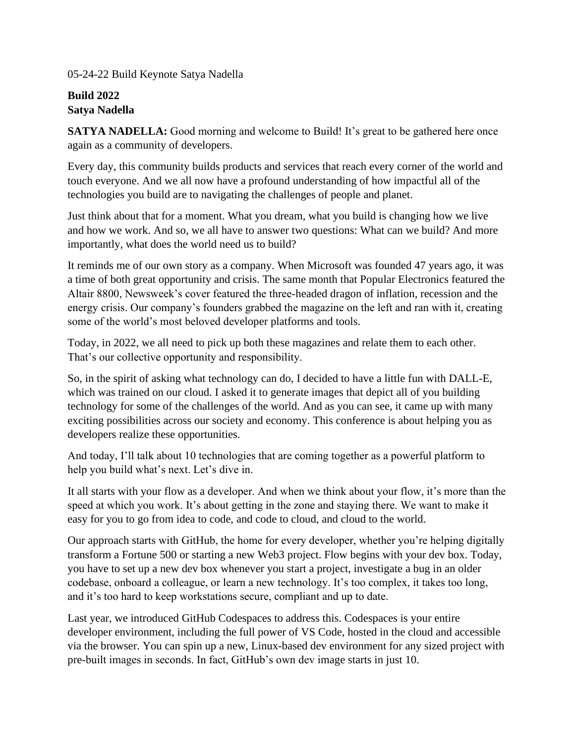05-24-22 Build Keynote Satya Nadella

## **Build 2022 Satya Nadella**

**SATYA NADELLA:** Good morning and welcome to Build! It's great to be gathered here once again as a community of developers.

Every day, this community builds products and services that reach every corner of the world and touch everyone. And we all now have a profound understanding of how impactful all of the technologies you build are to navigating the challenges of people and planet.

Just think about that for a moment. What you dream, what you build is changing how we live and how we work. And so, we all have to answer two questions: What can we build? And more importantly, what does the world need us to build?

It reminds me of our own story as a company. When Microsoft was founded 47 years ago, it was a time of both great opportunity and crisis. The same month that Popular Electronics featured the Altair 8800, Newsweek's cover featured the three-headed dragon of inflation, recession and the energy crisis. Our company's founders grabbed the magazine on the left and ran with it, creating some of the world's most beloved developer platforms and tools.

Today, in 2022, we all need to pick up both these magazines and relate them to each other. That's our collective opportunity and responsibility.

So, in the spirit of asking what technology can do, I decided to have a little fun with DALL-E, which was trained on our cloud. I asked it to generate images that depict all of you building technology for some of the challenges of the world. And as you can see, it came up with many exciting possibilities across our society and economy. This conference is about helping you as developers realize these opportunities.

And today, I'll talk about 10 technologies that are coming together as a powerful platform to help you build what's next. Let's dive in.

It all starts with your flow as a developer. And when we think about your flow, it's more than the speed at which you work. It's about getting in the zone and staying there. We want to make it easy for you to go from idea to code, and code to cloud, and cloud to the world.

Our approach starts with GitHub, the home for every developer, whether you're helping digitally transform a Fortune 500 or starting a new Web3 project. Flow begins with your dev box. Today, you have to set up a new dev box whenever you start a project, investigate a bug in an older codebase, onboard a colleague, or learn a new technology. It's too complex, it takes too long, and it's too hard to keep workstations secure, compliant and up to date.

Last year, we introduced GitHub Codespaces to address this. Codespaces is your entire developer environment, including the full power of VS Code, hosted in the cloud and accessible via the browser. You can spin up a new, Linux-based dev environment for any sized project with pre-built images in seconds. In fact, GitHub's own dev image starts in just 10.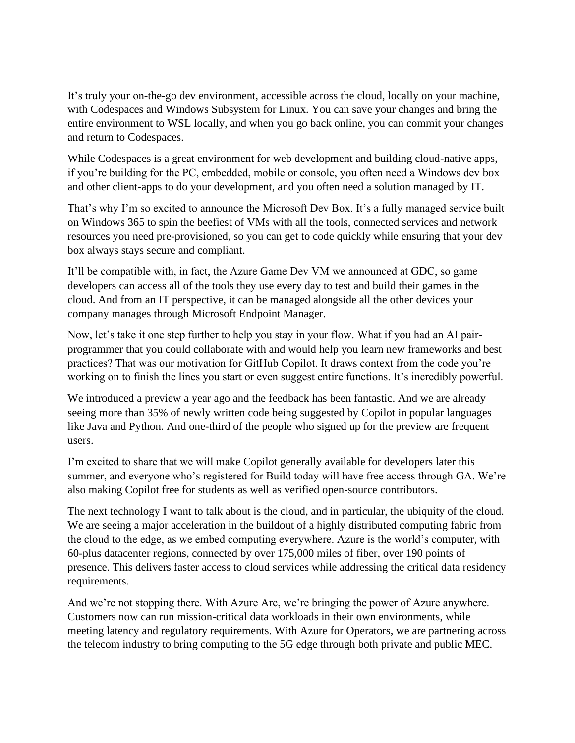It's truly your on-the-go dev environment, accessible across the cloud, locally on your machine, with Codespaces and Windows Subsystem for Linux. You can save your changes and bring the entire environment to WSL locally, and when you go back online, you can commit your changes and return to Codespaces.

While Codespaces is a great environment for web development and building cloud-native apps, if you're building for the PC, embedded, mobile or console, you often need a Windows dev box and other client-apps to do your development, and you often need a solution managed by IT.

That's why I'm so excited to announce the Microsoft Dev Box. It's a fully managed service built on Windows 365 to spin the beefiest of VMs with all the tools, connected services and network resources you need pre-provisioned, so you can get to code quickly while ensuring that your dev box always stays secure and compliant.

It'll be compatible with, in fact, the Azure Game Dev VM we announced at GDC, so game developers can access all of the tools they use every day to test and build their games in the cloud. And from an IT perspective, it can be managed alongside all the other devices your company manages through Microsoft Endpoint Manager.

Now, let's take it one step further to help you stay in your flow. What if you had an AI pairprogrammer that you could collaborate with and would help you learn new frameworks and best practices? That was our motivation for GitHub Copilot. It draws context from the code you're working on to finish the lines you start or even suggest entire functions. It's incredibly powerful.

We introduced a preview a year ago and the feedback has been fantastic. And we are already seeing more than 35% of newly written code being suggested by Copilot in popular languages like Java and Python. And one-third of the people who signed up for the preview are frequent users.

I'm excited to share that we will make Copilot generally available for developers later this summer, and everyone who's registered for Build today will have free access through GA. We're also making Copilot free for students as well as verified open-source contributors.

The next technology I want to talk about is the cloud, and in particular, the ubiquity of the cloud. We are seeing a major acceleration in the buildout of a highly distributed computing fabric from the cloud to the edge, as we embed computing everywhere. Azure is the world's computer, with 60-plus datacenter regions, connected by over 175,000 miles of fiber, over 190 points of presence. This delivers faster access to cloud services while addressing the critical data residency requirements.

And we're not stopping there. With Azure Arc, we're bringing the power of Azure anywhere. Customers now can run mission-critical data workloads in their own environments, while meeting latency and regulatory requirements. With Azure for Operators, we are partnering across the telecom industry to bring computing to the 5G edge through both private and public MEC.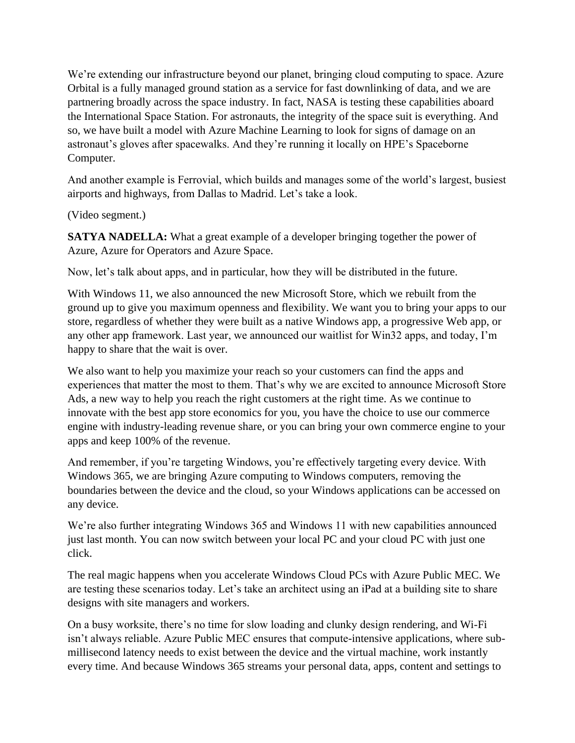We're extending our infrastructure beyond our planet, bringing cloud computing to space. Azure Orbital is a fully managed ground station as a service for fast downlinking of data, and we are partnering broadly across the space industry. In fact, NASA is testing these capabilities aboard the International Space Station. For astronauts, the integrity of the space suit is everything. And so, we have built a model with Azure Machine Learning to look for signs of damage on an astronaut's gloves after spacewalks. And they're running it locally on HPE's Spaceborne Computer.

And another example is Ferrovial, which builds and manages some of the world's largest, busiest airports and highways, from Dallas to Madrid. Let's take a look.

(Video segment.)

**SATYA NADELLA:** What a great example of a developer bringing together the power of Azure, Azure for Operators and Azure Space.

Now, let's talk about apps, and in particular, how they will be distributed in the future.

With Windows 11, we also announced the new Microsoft Store, which we rebuilt from the ground up to give you maximum openness and flexibility. We want you to bring your apps to our store, regardless of whether they were built as a native Windows app, a progressive Web app, or any other app framework. Last year, we announced our waitlist for Win32 apps, and today, I'm happy to share that the wait is over.

We also want to help you maximize your reach so your customers can find the apps and experiences that matter the most to them. That's why we are excited to announce Microsoft Store Ads, a new way to help you reach the right customers at the right time. As we continue to innovate with the best app store economics for you, you have the choice to use our commerce engine with industry-leading revenue share, or you can bring your own commerce engine to your apps and keep 100% of the revenue.

And remember, if you're targeting Windows, you're effectively targeting every device. With Windows 365, we are bringing Azure computing to Windows computers, removing the boundaries between the device and the cloud, so your Windows applications can be accessed on any device.

We're also further integrating Windows 365 and Windows 11 with new capabilities announced just last month. You can now switch between your local PC and your cloud PC with just one click.

The real magic happens when you accelerate Windows Cloud PCs with Azure Public MEC. We are testing these scenarios today. Let's take an architect using an iPad at a building site to share designs with site managers and workers.

On a busy worksite, there's no time for slow loading and clunky design rendering, and Wi-Fi isn't always reliable. Azure Public MEC ensures that compute-intensive applications, where submillisecond latency needs to exist between the device and the virtual machine, work instantly every time. And because Windows 365 streams your personal data, apps, content and settings to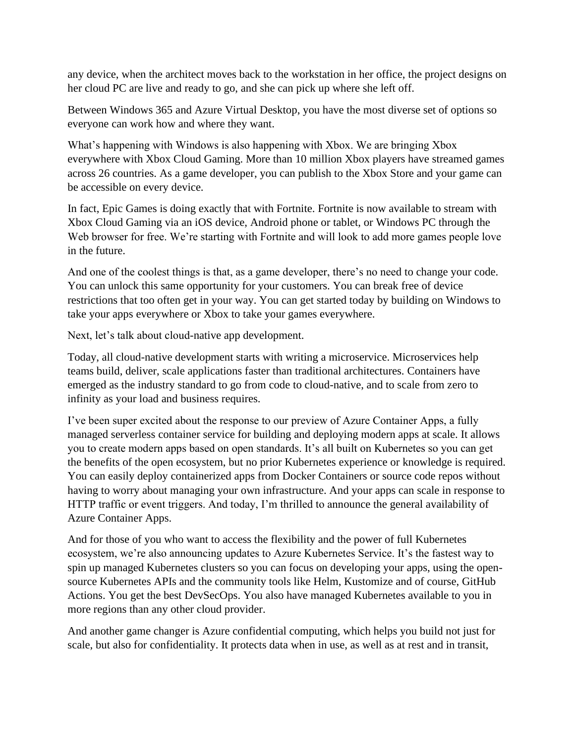any device, when the architect moves back to the workstation in her office, the project designs on her cloud PC are live and ready to go, and she can pick up where she left off.

Between Windows 365 and Azure Virtual Desktop, you have the most diverse set of options so everyone can work how and where they want.

What's happening with Windows is also happening with Xbox. We are bringing Xbox everywhere with Xbox Cloud Gaming. More than 10 million Xbox players have streamed games across 26 countries. As a game developer, you can publish to the Xbox Store and your game can be accessible on every device.

In fact, Epic Games is doing exactly that with Fortnite. Fortnite is now available to stream with Xbox Cloud Gaming via an iOS device, Android phone or tablet, or Windows PC through the Web browser for free. We're starting with Fortnite and will look to add more games people love in the future.

And one of the coolest things is that, as a game developer, there's no need to change your code. You can unlock this same opportunity for your customers. You can break free of device restrictions that too often get in your way. You can get started today by building on Windows to take your apps everywhere or Xbox to take your games everywhere.

Next, let's talk about cloud-native app development.

Today, all cloud-native development starts with writing a microservice. Microservices help teams build, deliver, scale applications faster than traditional architectures. Containers have emerged as the industry standard to go from code to cloud-native, and to scale from zero to infinity as your load and business requires.

I've been super excited about the response to our preview of Azure Container Apps, a fully managed serverless container service for building and deploying modern apps at scale. It allows you to create modern apps based on open standards. It's all built on Kubernetes so you can get the benefits of the open ecosystem, but no prior Kubernetes experience or knowledge is required. You can easily deploy containerized apps from Docker Containers or source code repos without having to worry about managing your own infrastructure. And your apps can scale in response to HTTP traffic or event triggers. And today, I'm thrilled to announce the general availability of Azure Container Apps.

And for those of you who want to access the flexibility and the power of full Kubernetes ecosystem, we're also announcing updates to Azure Kubernetes Service. It's the fastest way to spin up managed Kubernetes clusters so you can focus on developing your apps, using the opensource Kubernetes APIs and the community tools like Helm, Kustomize and of course, GitHub Actions. You get the best DevSecOps. You also have managed Kubernetes available to you in more regions than any other cloud provider.

And another game changer is Azure confidential computing, which helps you build not just for scale, but also for confidentiality. It protects data when in use, as well as at rest and in transit,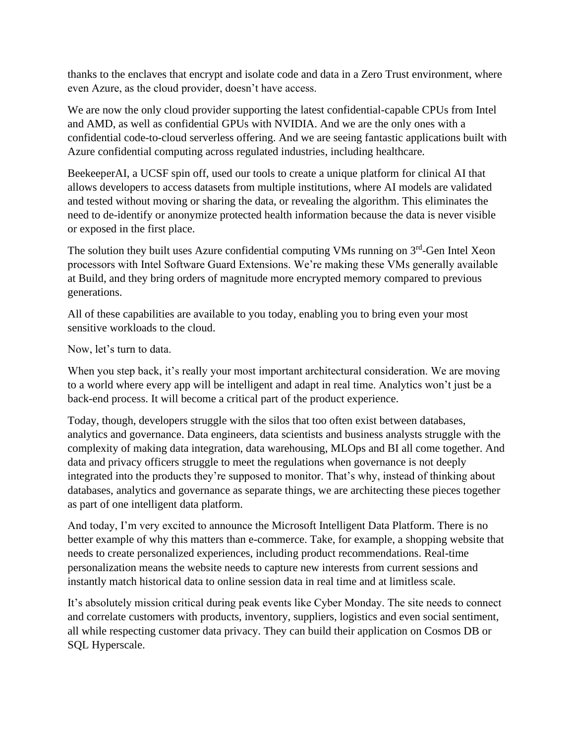thanks to the enclaves that encrypt and isolate code and data in a Zero Trust environment, where even Azure, as the cloud provider, doesn't have access.

We are now the only cloud provider supporting the latest confidential-capable CPUs from Intel and AMD, as well as confidential GPUs with NVIDIA. And we are the only ones with a confidential code-to-cloud serverless offering. And we are seeing fantastic applications built with Azure confidential computing across regulated industries, including healthcare.

BeekeeperAI, a UCSF spin off, used our tools to create a unique platform for clinical AI that allows developers to access datasets from multiple institutions, where AI models are validated and tested without moving or sharing the data, or revealing the algorithm. This eliminates the need to de-identify or anonymize protected health information because the data is never visible or exposed in the first place.

The solution they built uses Azure confidential computing VMs running on  $3<sup>rd</sup>$ -Gen Intel Xeon processors with Intel Software Guard Extensions. We're making these VMs generally available at Build, and they bring orders of magnitude more encrypted memory compared to previous generations.

All of these capabilities are available to you today, enabling you to bring even your most sensitive workloads to the cloud.

Now, let's turn to data.

When you step back, it's really your most important architectural consideration. We are moving to a world where every app will be intelligent and adapt in real time. Analytics won't just be a back-end process. It will become a critical part of the product experience.

Today, though, developers struggle with the silos that too often exist between databases, analytics and governance. Data engineers, data scientists and business analysts struggle with the complexity of making data integration, data warehousing, MLOps and BI all come together. And data and privacy officers struggle to meet the regulations when governance is not deeply integrated into the products they're supposed to monitor. That's why, instead of thinking about databases, analytics and governance as separate things, we are architecting these pieces together as part of one intelligent data platform.

And today, I'm very excited to announce the Microsoft Intelligent Data Platform. There is no better example of why this matters than e-commerce. Take, for example, a shopping website that needs to create personalized experiences, including product recommendations. Real-time personalization means the website needs to capture new interests from current sessions and instantly match historical data to online session data in real time and at limitless scale.

It's absolutely mission critical during peak events like Cyber Monday. The site needs to connect and correlate customers with products, inventory, suppliers, logistics and even social sentiment, all while respecting customer data privacy. They can build their application on Cosmos DB or SQL Hyperscale.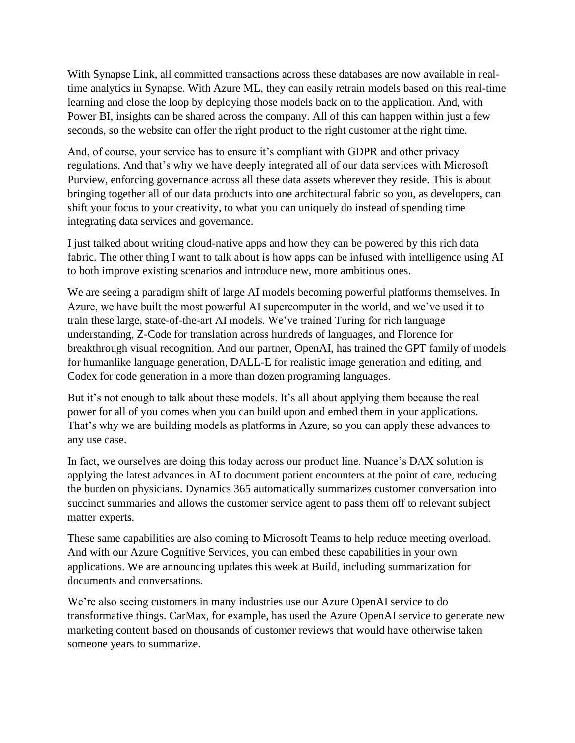With Synapse Link, all committed transactions across these databases are now available in realtime analytics in Synapse. With Azure ML, they can easily retrain models based on this real-time learning and close the loop by deploying those models back on to the application. And, with Power BI, insights can be shared across the company. All of this can happen within just a few seconds, so the website can offer the right product to the right customer at the right time.

And, of course, your service has to ensure it's compliant with GDPR and other privacy regulations. And that's why we have deeply integrated all of our data services with Microsoft Purview, enforcing governance across all these data assets wherever they reside. This is about bringing together all of our data products into one architectural fabric so you, as developers, can shift your focus to your creativity, to what you can uniquely do instead of spending time integrating data services and governance.

I just talked about writing cloud-native apps and how they can be powered by this rich data fabric. The other thing I want to talk about is how apps can be infused with intelligence using AI to both improve existing scenarios and introduce new, more ambitious ones.

We are seeing a paradigm shift of large AI models becoming powerful platforms themselves. In Azure, we have built the most powerful AI supercomputer in the world, and we've used it to train these large, state-of-the-art AI models. We've trained Turing for rich language understanding, Z-Code for translation across hundreds of languages, and Florence for breakthrough visual recognition. And our partner, OpenAI, has trained the GPT family of models for humanlike language generation, DALL-E for realistic image generation and editing, and Codex for code generation in a more than dozen programing languages.

But it's not enough to talk about these models. It's all about applying them because the real power for all of you comes when you can build upon and embed them in your applications. That's why we are building models as platforms in Azure, so you can apply these advances to any use case.

In fact, we ourselves are doing this today across our product line. Nuance's DAX solution is applying the latest advances in AI to document patient encounters at the point of care, reducing the burden on physicians. Dynamics 365 automatically summarizes customer conversation into succinct summaries and allows the customer service agent to pass them off to relevant subject matter experts.

These same capabilities are also coming to Microsoft Teams to help reduce meeting overload. And with our Azure Cognitive Services, you can embed these capabilities in your own applications. We are announcing updates this week at Build, including summarization for documents and conversations.

We're also seeing customers in many industries use our Azure OpenAI service to do transformative things. CarMax, for example, has used the Azure OpenAI service to generate new marketing content based on thousands of customer reviews that would have otherwise taken someone years to summarize.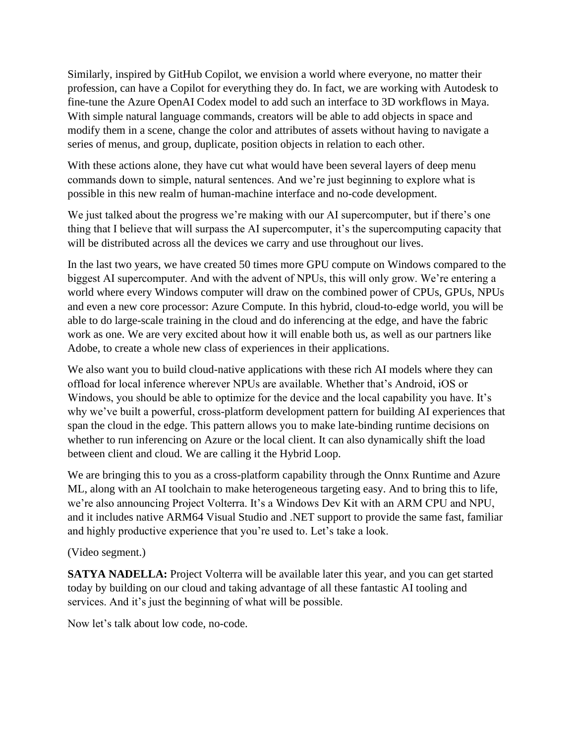Similarly, inspired by GitHub Copilot, we envision a world where everyone, no matter their profession, can have a Copilot for everything they do. In fact, we are working with Autodesk to fine-tune the Azure OpenAI Codex model to add such an interface to 3D workflows in Maya. With simple natural language commands, creators will be able to add objects in space and modify them in a scene, change the color and attributes of assets without having to navigate a series of menus, and group, duplicate, position objects in relation to each other.

With these actions alone, they have cut what would have been several layers of deep menu commands down to simple, natural sentences. And we're just beginning to explore what is possible in this new realm of human-machine interface and no-code development.

We just talked about the progress we're making with our AI supercomputer, but if there's one thing that I believe that will surpass the AI supercomputer, it's the supercomputing capacity that will be distributed across all the devices we carry and use throughout our lives.

In the last two years, we have created 50 times more GPU compute on Windows compared to the biggest AI supercomputer. And with the advent of NPUs, this will only grow. We're entering a world where every Windows computer will draw on the combined power of CPUs, GPUs, NPUs and even a new core processor: Azure Compute. In this hybrid, cloud-to-edge world, you will be able to do large-scale training in the cloud and do inferencing at the edge, and have the fabric work as one. We are very excited about how it will enable both us, as well as our partners like Adobe, to create a whole new class of experiences in their applications.

We also want you to build cloud-native applications with these rich AI models where they can offload for local inference wherever NPUs are available. Whether that's Android, iOS or Windows, you should be able to optimize for the device and the local capability you have. It's why we've built a powerful, cross-platform development pattern for building AI experiences that span the cloud in the edge. This pattern allows you to make late-binding runtime decisions on whether to run inferencing on Azure or the local client. It can also dynamically shift the load between client and cloud. We are calling it the Hybrid Loop.

We are bringing this to you as a cross-platform capability through the Onnx Runtime and Azure ML, along with an AI toolchain to make heterogeneous targeting easy. And to bring this to life, we're also announcing Project Volterra. It's a Windows Dev Kit with an ARM CPU and NPU, and it includes native ARM64 Visual Studio and .NET support to provide the same fast, familiar and highly productive experience that you're used to. Let's take a look.

## (Video segment.)

**SATYA NADELLA:** Project Volterra will be available later this year, and you can get started today by building on our cloud and taking advantage of all these fantastic AI tooling and services. And it's just the beginning of what will be possible.

Now let's talk about low code, no-code.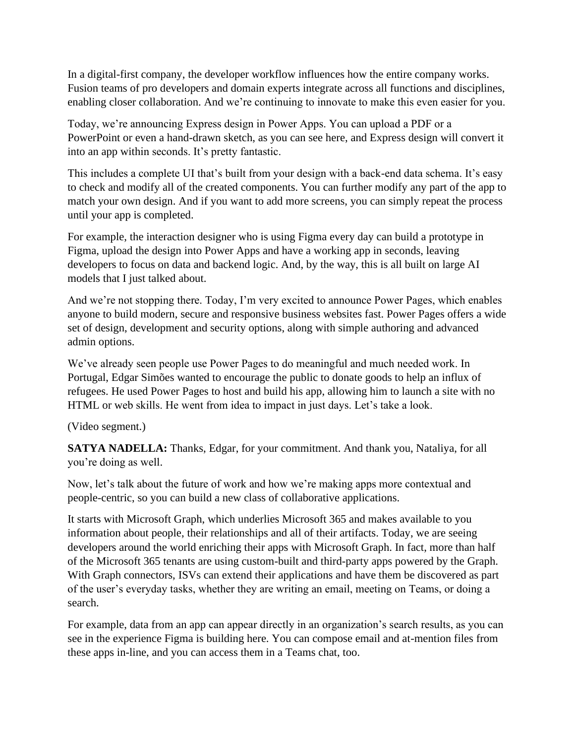In a digital-first company, the developer workflow influences how the entire company works. Fusion teams of pro developers and domain experts integrate across all functions and disciplines, enabling closer collaboration. And we're continuing to innovate to make this even easier for you.

Today, we're announcing Express design in Power Apps. You can upload a PDF or a PowerPoint or even a hand-drawn sketch, as you can see here, and Express design will convert it into an app within seconds. It's pretty fantastic.

This includes a complete UI that's built from your design with a back-end data schema. It's easy to check and modify all of the created components. You can further modify any part of the app to match your own design. And if you want to add more screens, you can simply repeat the process until your app is completed.

For example, the interaction designer who is using Figma every day can build a prototype in Figma, upload the design into Power Apps and have a working app in seconds, leaving developers to focus on data and backend logic. And, by the way, this is all built on large AI models that I just talked about.

And we're not stopping there. Today, I'm very excited to announce Power Pages, which enables anyone to build modern, secure and responsive business websites fast. Power Pages offers a wide set of design, development and security options, along with simple authoring and advanced admin options.

We've already seen people use Power Pages to do meaningful and much needed work. In Portugal, Edgar Simões wanted to encourage the public to donate goods to help an influx of refugees. He used Power Pages to host and build his app, allowing him to launch a site with no HTML or web skills. He went from idea to impact in just days. Let's take a look.

(Video segment.)

**SATYA NADELLA:** Thanks, Edgar, for your commitment. And thank you, Nataliya, for all you're doing as well.

Now, let's talk about the future of work and how we're making apps more contextual and people-centric, so you can build a new class of collaborative applications.

It starts with Microsoft Graph, which underlies Microsoft 365 and makes available to you information about people, their relationships and all of their artifacts. Today, we are seeing developers around the world enriching their apps with Microsoft Graph. In fact, more than half of the Microsoft 365 tenants are using custom-built and third-party apps powered by the Graph. With Graph connectors, ISVs can extend their applications and have them be discovered as part of the user's everyday tasks, whether they are writing an email, meeting on Teams, or doing a search.

For example, data from an app can appear directly in an organization's search results, as you can see in the experience Figma is building here. You can compose email and at-mention files from these apps in-line, and you can access them in a Teams chat, too.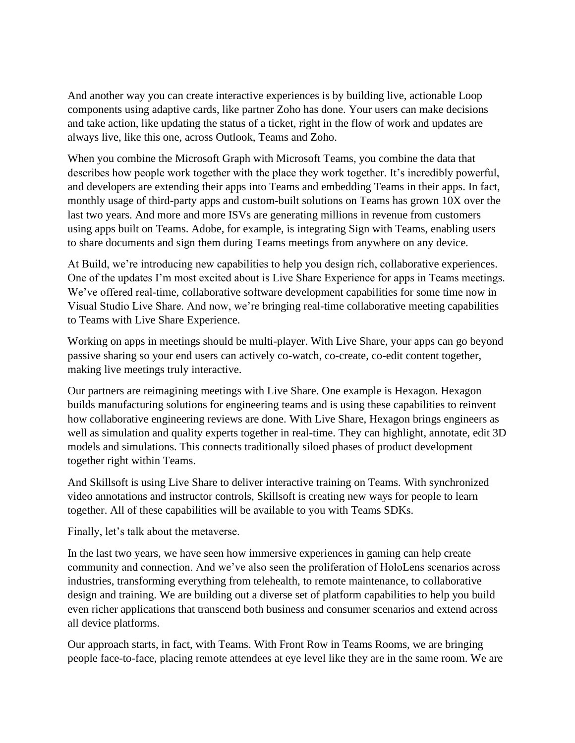And another way you can create interactive experiences is by building live, actionable Loop components using adaptive cards, like partner Zoho has done. Your users can make decisions and take action, like updating the status of a ticket, right in the flow of work and updates are always live, like this one, across Outlook, Teams and Zoho.

When you combine the Microsoft Graph with Microsoft Teams, you combine the data that describes how people work together with the place they work together. It's incredibly powerful, and developers are extending their apps into Teams and embedding Teams in their apps. In fact, monthly usage of third-party apps and custom-built solutions on Teams has grown 10X over the last two years. And more and more ISVs are generating millions in revenue from customers using apps built on Teams. Adobe, for example, is integrating Sign with Teams, enabling users to share documents and sign them during Teams meetings from anywhere on any device.

At Build, we're introducing new capabilities to help you design rich, collaborative experiences. One of the updates I'm most excited about is Live Share Experience for apps in Teams meetings. We've offered real-time, collaborative software development capabilities for some time now in Visual Studio Live Share. And now, we're bringing real-time collaborative meeting capabilities to Teams with Live Share Experience.

Working on apps in meetings should be multi-player. With Live Share, your apps can go beyond passive sharing so your end users can actively co-watch, co-create, co-edit content together, making live meetings truly interactive.

Our partners are reimagining meetings with Live Share. One example is Hexagon. Hexagon builds manufacturing solutions for engineering teams and is using these capabilities to reinvent how collaborative engineering reviews are done. With Live Share, Hexagon brings engineers as well as simulation and quality experts together in real-time. They can highlight, annotate, edit 3D models and simulations. This connects traditionally siloed phases of product development together right within Teams.

And Skillsoft is using Live Share to deliver interactive training on Teams. With synchronized video annotations and instructor controls, Skillsoft is creating new ways for people to learn together. All of these capabilities will be available to you with Teams SDKs.

Finally, let's talk about the metaverse.

In the last two years, we have seen how immersive experiences in gaming can help create community and connection. And we've also seen the proliferation of HoloLens scenarios across industries, transforming everything from telehealth, to remote maintenance, to collaborative design and training. We are building out a diverse set of platform capabilities to help you build even richer applications that transcend both business and consumer scenarios and extend across all device platforms.

Our approach starts, in fact, with Teams. With Front Row in Teams Rooms, we are bringing people face-to-face, placing remote attendees at eye level like they are in the same room. We are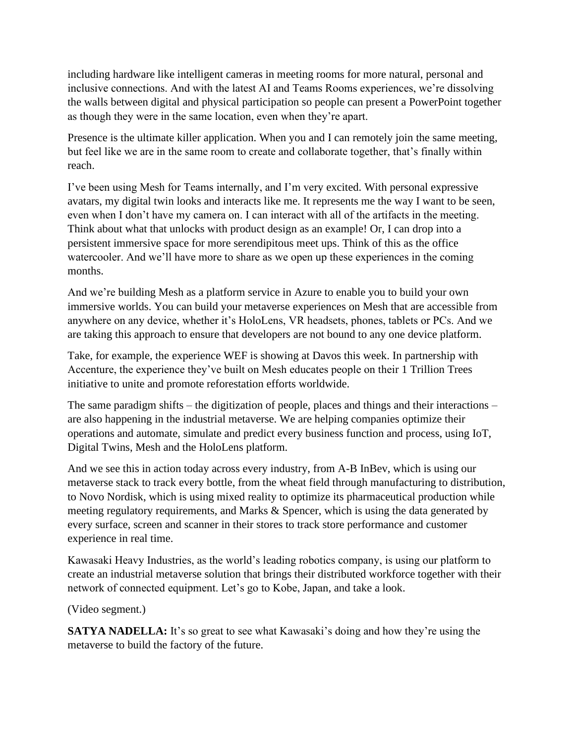including hardware like intelligent cameras in meeting rooms for more natural, personal and inclusive connections. And with the latest AI and Teams Rooms experiences, we're dissolving the walls between digital and physical participation so people can present a PowerPoint together as though they were in the same location, even when they're apart.

Presence is the ultimate killer application. When you and I can remotely join the same meeting, but feel like we are in the same room to create and collaborate together, that's finally within reach.

I've been using Mesh for Teams internally, and I'm very excited. With personal expressive avatars, my digital twin looks and interacts like me. It represents me the way I want to be seen, even when I don't have my camera on. I can interact with all of the artifacts in the meeting. Think about what that unlocks with product design as an example! Or, I can drop into a persistent immersive space for more serendipitous meet ups. Think of this as the office watercooler. And we'll have more to share as we open up these experiences in the coming months.

And we're building Mesh as a platform service in Azure to enable you to build your own immersive worlds. You can build your metaverse experiences on Mesh that are accessible from anywhere on any device, whether it's HoloLens, VR headsets, phones, tablets or PCs. And we are taking this approach to ensure that developers are not bound to any one device platform.

Take, for example, the experience WEF is showing at Davos this week. In partnership with Accenture, the experience they've built on Mesh educates people on their 1 Trillion Trees initiative to unite and promote reforestation efforts worldwide.

The same paradigm shifts – the digitization of people, places and things and their interactions – are also happening in the industrial metaverse. We are helping companies optimize their operations and automate, simulate and predict every business function and process, using IoT, Digital Twins, Mesh and the HoloLens platform.

And we see this in action today across every industry, from A-B InBev, which is using our metaverse stack to track every bottle, from the wheat field through manufacturing to distribution, to Novo Nordisk, which is using mixed reality to optimize its pharmaceutical production while meeting regulatory requirements, and Marks & Spencer, which is using the data generated by every surface, screen and scanner in their stores to track store performance and customer experience in real time.

Kawasaki Heavy Industries, as the world's leading robotics company, is using our platform to create an industrial metaverse solution that brings their distributed workforce together with their network of connected equipment. Let's go to Kobe, Japan, and take a look.

(Video segment.)

**SATYA NADELLA:** It's so great to see what Kawasaki's doing and how they're using the metaverse to build the factory of the future.